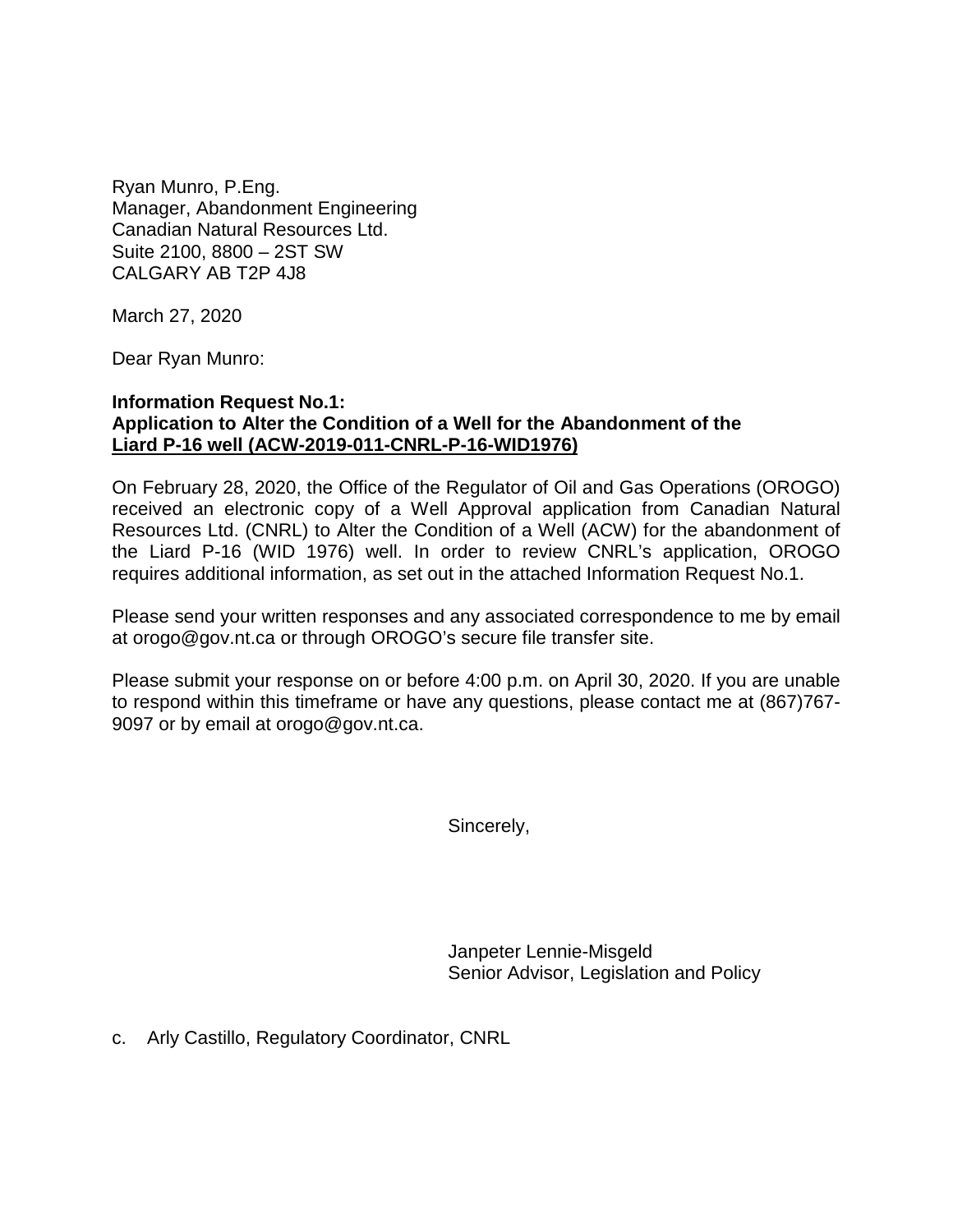Ryan Munro, P.Eng. Manager, Abandonment Engineering Canadian Natural Resources Ltd. Suite 2100, 8800 – 2ST SW CALGARY AB T2P 4J8

March 27, 2020

Dear Ryan Munro:

## **Information Request No.1: Application to Alter the Condition of a Well for the Abandonment of the Liard P-16 well (ACW-2019-011-CNRL-P-16-WID1976)**

On February 28, 2020, the Office of the Regulator of Oil and Gas Operations (OROGO) received an electronic copy of a Well Approval application from Canadian Natural Resources Ltd. (CNRL) to Alter the Condition of a Well (ACW) for the abandonment of the Liard P-16 (WID 1976) well. In order to review CNRL's application, OROGO requires additional information, as set out in the attached Information Request No.1.

Please send your written responses and any associated correspondence to me by email at orogo@gov.nt.ca or through OROGO's secure file transfer site.

Please submit your response on or before 4:00 p.m. on April 30, 2020. If you are unable to respond within this timeframe or have any questions, please contact me at (867)767- 9097 or by email at orogo@gov.nt.ca.

Sincerely,

Janpeter Lennie-Misgeld Senior Advisor, Legislation and Policy

c. Arly Castillo, Regulatory Coordinator, CNRL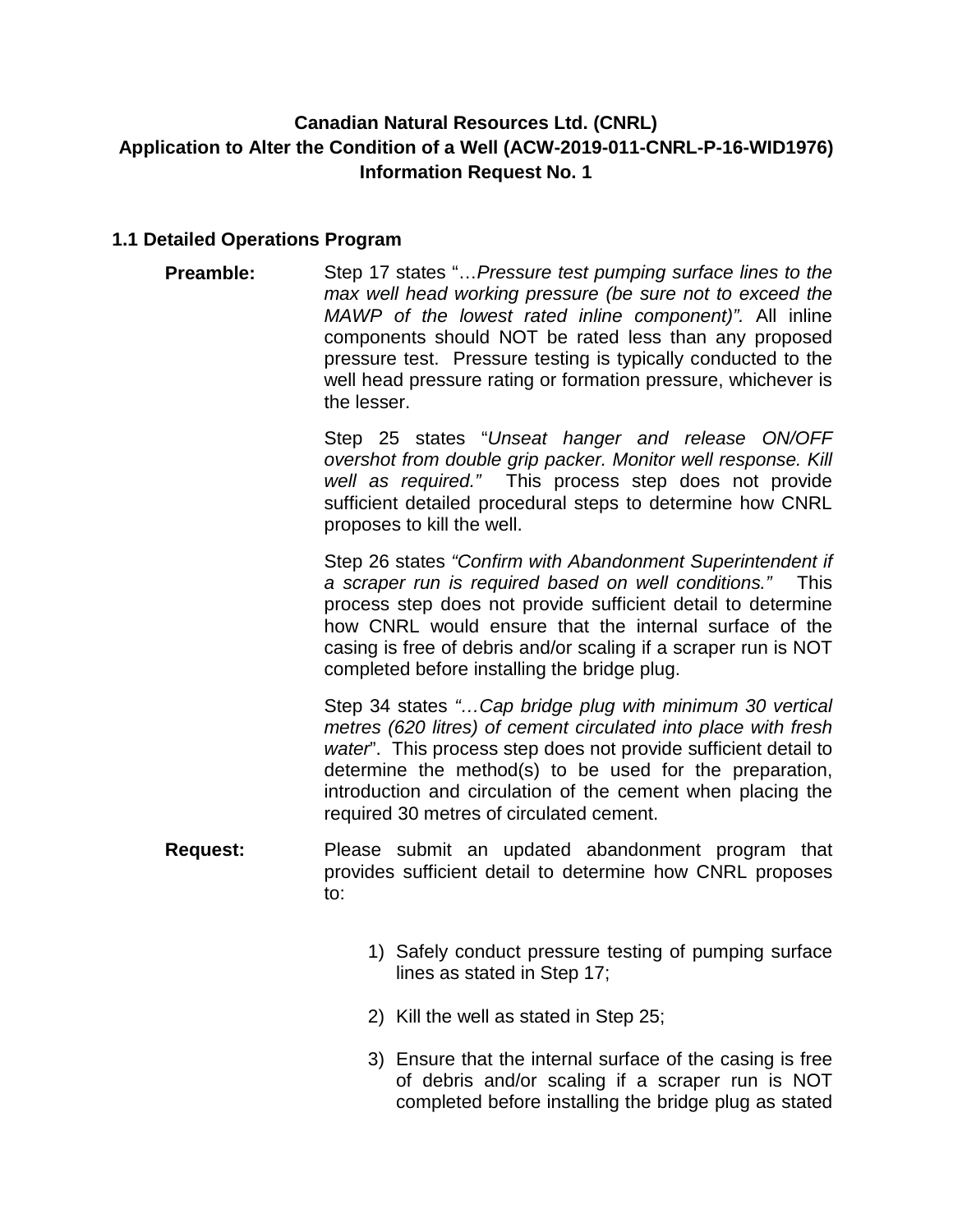## **Canadian Natural Resources Ltd. (CNRL) Application to Alter the Condition of a Well (ACW-2019-011-CNRL-P-16-WID1976) Information Request No. 1**

## **1.1 Detailed Operations Program**

**Preamble:** Step 17 states "…*Pressure test pumping surface lines to the max well head working pressure (be sure not to exceed the MAWP of the lowest rated inline component)".* All inline components should NOT be rated less than any proposed pressure test. Pressure testing is typically conducted to the well head pressure rating or formation pressure, whichever is the lesser.

> Step 25 states "*Unseat hanger and release ON/OFF overshot from double grip packer. Monitor well response. Kill well as required."* This process step does not provide sufficient detailed procedural steps to determine how CNRL proposes to kill the well.

> Step 26 states *"Confirm with Abandonment Superintendent if a scraper run is required based on well conditions."* This process step does not provide sufficient detail to determine how CNRL would ensure that the internal surface of the casing is free of debris and/or scaling if a scraper run is NOT completed before installing the bridge plug.

> Step 34 states *"…Cap bridge plug with minimum 30 vertical metres (620 litres) of cement circulated into place with fresh water*". This process step does not provide sufficient detail to determine the method(s) to be used for the preparation, introduction and circulation of the cement when placing the required 30 metres of circulated cement.

- **Request:** Please submit an updated abandonment program that provides sufficient detail to determine how CNRL proposes to:
	- 1) Safely conduct pressure testing of pumping surface lines as stated in Step 17;
	- 2) Kill the well as stated in Step 25;
	- 3) Ensure that the internal surface of the casing is free of debris and/or scaling if a scraper run is NOT completed before installing the bridge plug as stated